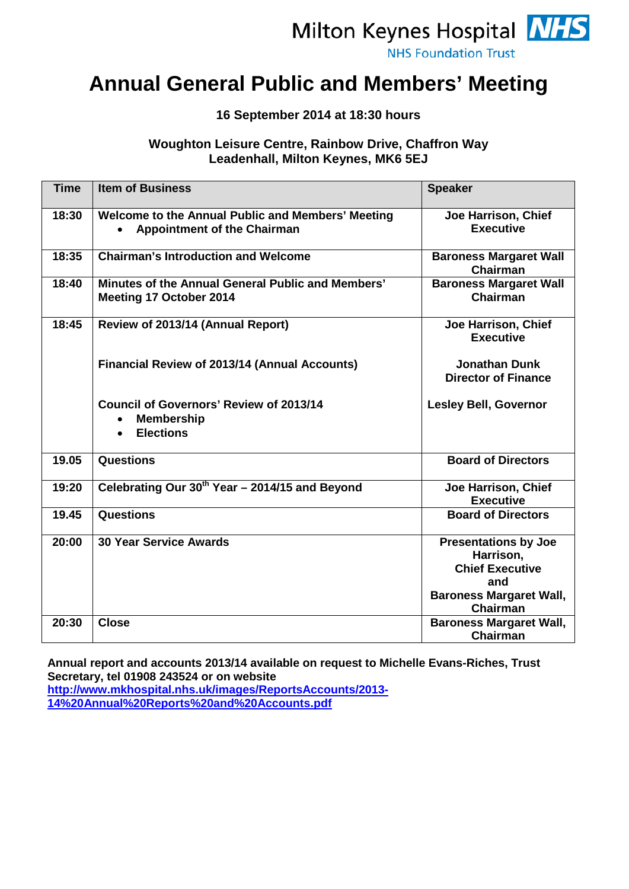# Milton Keynes Hospital **NHS**

**NHS Foundation Trust** 

### **Annual General Public and Members' Meeting**

#### **16 September 2014 at 18:30 hours**

#### **Woughton Leisure Centre, Rainbow Drive, Chaffron Way Leadenhall, Milton Keynes, MK6 5EJ**

| <b>Time</b> | <b>Item of Business</b>                                                                              | <b>Speaker</b>                                                                                                                 |
|-------------|------------------------------------------------------------------------------------------------------|--------------------------------------------------------------------------------------------------------------------------------|
| 18:30       | Welcome to the Annual Public and Members' Meeting<br><b>Appointment of the Chairman</b>              | Joe Harrison, Chief<br><b>Executive</b>                                                                                        |
| 18:35       | <b>Chairman's Introduction and Welcome</b>                                                           | <b>Baroness Margaret Wall</b><br>Chairman                                                                                      |
| 18:40       | Minutes of the Annual General Public and Members'<br>Meeting 17 October 2014                         | <b>Baroness Margaret Wall</b><br>Chairman                                                                                      |
| 18:45       | Review of 2013/14 (Annual Report)                                                                    | Joe Harrison, Chief<br><b>Executive</b>                                                                                        |
|             | <b>Financial Review of 2013/14 (Annual Accounts)</b>                                                 | <b>Jonathan Dunk</b><br><b>Director of Finance</b>                                                                             |
|             | <b>Council of Governors' Review of 2013/14</b><br><b>Membership</b><br>$\bullet$<br><b>Elections</b> | <b>Lesley Bell, Governor</b>                                                                                                   |
| 19.05       | <b>Questions</b>                                                                                     | <b>Board of Directors</b>                                                                                                      |
| 19:20       | Celebrating Our 30 <sup>th</sup> Year - 2014/15 and Beyond                                           | Joe Harrison, Chief<br><b>Executive</b>                                                                                        |
| 19.45       | <b>Questions</b>                                                                                     | <b>Board of Directors</b>                                                                                                      |
| 20:00       | <b>30 Year Service Awards</b>                                                                        | <b>Presentations by Joe</b><br>Harrison,<br><b>Chief Executive</b><br>and<br><b>Baroness Margaret Wall,</b><br><b>Chairman</b> |
| 20:30       | <b>Close</b>                                                                                         | <b>Baroness Margaret Wall,</b><br><b>Chairman</b>                                                                              |

**Annual report and accounts 2013/14 available on request to Michelle Evans-Riches, Trust Secretary, tel 01908 243524 or on website** 

**[http://www.mkhospital.nhs.uk/images/ReportsAccounts/2013-](http://www.mkhospital.nhs.uk/images/ReportsAccounts/2013-14%20Annual%20Reports%20and%20Accounts.pdf) [14%20Annual%20Reports%20and%20Accounts.pdf](http://www.mkhospital.nhs.uk/images/ReportsAccounts/2013-14%20Annual%20Reports%20and%20Accounts.pdf)**